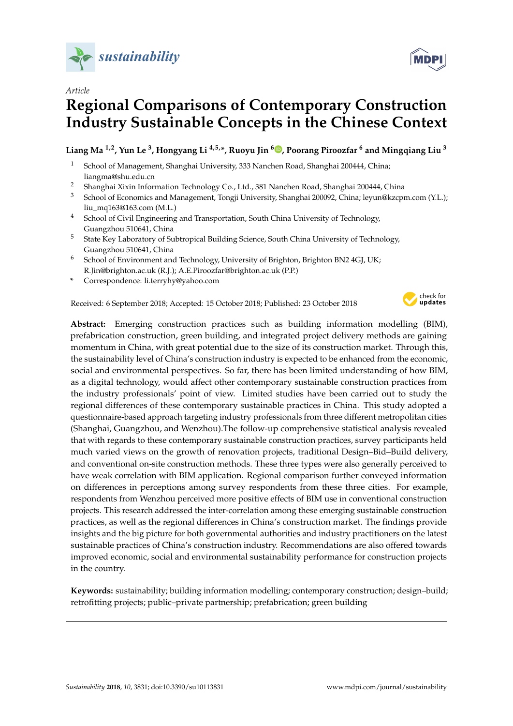



# **Regional Comparisons of Contemporary Construction Industry Sustainable Concepts in the Chinese Context**

# **Liang Ma 1,2, Yun Le <sup>3</sup> , Hongyang Li 4,5,\*, Ruoyu Jin <sup>6</sup> [,](https://orcid.org/0000-0003-0360-6967) Poorang Piroozfar <sup>6</sup> and Mingqiang Liu <sup>3</sup>**

- <sup>1</sup> School of Management, Shanghai University, 333 Nanchen Road, Shanghai 200444, China; liangma@shu.edu.cn
- <sup>2</sup> Shanghai Xixin Information Technology Co., Ltd., 381 Nanchen Road, Shanghai 200444, China
- <sup>3</sup> School of Economics and Management, Tongji University, Shanghai 200092, China; leyun@kzcpm.com (Y.L.); liu\_mq163@163.com (M.L.)
- <sup>4</sup> School of Civil Engineering and Transportation, South China University of Technology, Guangzhou 510641, China
- <sup>5</sup> State Key Laboratory of Subtropical Building Science, South China University of Technology, Guangzhou 510641, China
- <sup>6</sup> School of Environment and Technology, University of Brighton, Brighton BN2 4GJ, UK; R.Jin@brighton.ac.uk (R.J.); A.E.Piroozfar@brighton.ac.uk (P.P.)
- **\*** Correspondence: li.terryhy@yahoo.com

Received: 6 September 2018; Accepted: 15 October 2018; Published: 23 October 2018



**Abstract:** Emerging construction practices such as building information modelling (BIM), prefabrication construction, green building, and integrated project delivery methods are gaining momentum in China, with great potential due to the size of its construction market. Through this, the sustainability level of China's construction industry is expected to be enhanced from the economic, social and environmental perspectives. So far, there has been limited understanding of how BIM, as a digital technology, would affect other contemporary sustainable construction practices from the industry professionals' point of view. Limited studies have been carried out to study the regional differences of these contemporary sustainable practices in China. This study adopted a questionnaire-based approach targeting industry professionals from three different metropolitan cities (Shanghai, Guangzhou, and Wenzhou).The follow-up comprehensive statistical analysis revealed that with regards to these contemporary sustainable construction practices, survey participants held much varied views on the growth of renovation projects, traditional Design–Bid–Build delivery, and conventional on-site construction methods. These three types were also generally perceived to have weak correlation with BIM application. Regional comparison further conveyed information on differences in perceptions among survey respondents from these three cities. For example, respondents from Wenzhou perceived more positive effects of BIM use in conventional construction projects. This research addressed the inter-correlation among these emerging sustainable construction practices, as well as the regional differences in China's construction market. The findings provide insights and the big picture for both governmental authorities and industry practitioners on the latest sustainable practices of China's construction industry. Recommendations are also offered towards improved economic, social and environmental sustainability performance for construction projects in the country.

**Keywords:** sustainability; building information modelling; contemporary construction; design–build; retrofitting projects; public–private partnership; prefabrication; green building

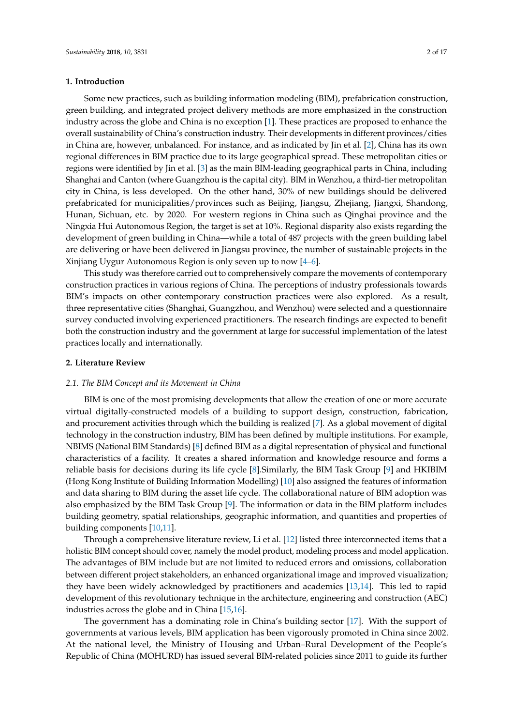## **1. Introduction**

Some new practices, such as building information modeling (BIM), prefabrication construction, green building, and integrated project delivery methods are more emphasized in the construction industry across the globe and China is no exception [\[1\]](#page-13-0). These practices are proposed to enhance the overall sustainability of China's construction industry. Their developments in different provinces/cities in China are, however, unbalanced. For instance, and as indicated by Jin et al. [\[2\]](#page-13-1), China has its own regional differences in BIM practice due to its large geographical spread. These metropolitan cities or regions were identified by Jin et al. [\[3\]](#page-13-2) as the main BIM-leading geographical parts in China, including Shanghai and Canton (where Guangzhou is the capital city). BIM in Wenzhou, a third-tier metropolitan city in China, is less developed. On the other hand, 30% of new buildings should be delivered prefabricated for municipalities/provinces such as Beijing, Jiangsu, Zhejiang, Jiangxi, Shandong, Hunan, Sichuan, etc. by 2020. For western regions in China such as Qinghai province and the Ningxia Hui Autonomous Region, the target is set at 10%. Regional disparity also exists regarding the development of green building in China—while a total of 487 projects with the green building label are delivering or have been delivered in Jiangsu province, the number of sustainable projects in the Xinjiang Uygur Autonomous Region is only seven up to now [\[4–](#page-13-3)[6\]](#page-13-4).

This study was therefore carried out to comprehensively compare the movements of contemporary construction practices in various regions of China. The perceptions of industry professionals towards BIM's impacts on other contemporary construction practices were also explored. As a result, three representative cities (Shanghai, Guangzhou, and Wenzhou) were selected and a questionnaire survey conducted involving experienced practitioners. The research findings are expected to benefit both the construction industry and the government at large for successful implementation of the latest practices locally and internationally.

## **2. Literature Review**

#### *2.1. The BIM Concept and its Movement in China*

BIM is one of the most promising developments that allow the creation of one or more accurate virtual digitally-constructed models of a building to support design, construction, fabrication, and procurement activities through which the building is realized [\[7\]](#page-13-5). As a global movement of digital technology in the construction industry, BIM has been defined by multiple institutions. For example, NBIMS (National BIM Standards) [\[8\]](#page-13-6) defined BIM as a digital representation of physical and functional characteristics of a facility. It creates a shared information and knowledge resource and forms a reliable basis for decisions during its life cycle [\[8\]](#page-13-6).Similarly, the BIM Task Group [\[9\]](#page-13-7) and HKIBIM (Hong Kong Institute of Building Information Modelling) [\[10\]](#page-13-8) also assigned the features of information and data sharing to BIM during the asset life cycle. The collaborational nature of BIM adoption was also emphasized by the BIM Task Group [\[9\]](#page-13-7). The information or data in the BIM platform includes building geometry, spatial relationships, geographic information, and quantities and properties of building components [\[10](#page-13-8)[,11\]](#page-13-9).

Through a comprehensive literature review, Li et al. [\[12\]](#page-13-10) listed three interconnected items that a holistic BIM concept should cover, namely the model product, modeling process and model application. The advantages of BIM include but are not limited to reduced errors and omissions, collaboration between different project stakeholders, an enhanced organizational image and improved visualization; they have been widely acknowledged by practitioners and academics [\[13](#page-13-11)[,14\]](#page-13-12). This led to rapid development of this revolutionary technique in the architecture, engineering and construction (AEC) industries across the globe and in China [\[15](#page-13-13)[,16\]](#page-13-14).

The government has a dominating role in China's building sector [\[17\]](#page-14-0). With the support of governments at various levels, BIM application has been vigorously promoted in China since 2002. At the national level, the Ministry of Housing and Urban–Rural Development of the People's Republic of China (MOHURD) has issued several BIM-related policies since 2011 to guide its further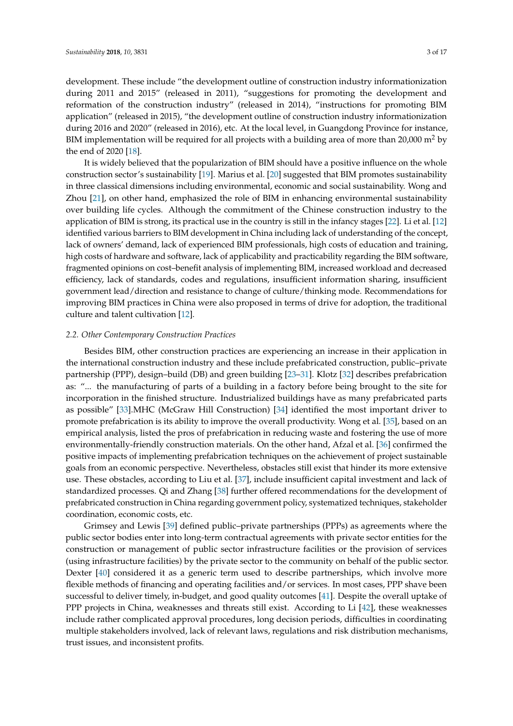development. These include "the development outline of construction industry informationization during 2011 and 2015" (released in 2011), "suggestions for promoting the development and reformation of the construction industry" (released in 2014), "instructions for promoting BIM application" (released in 2015), "the development outline of construction industry informationization during 2016 and 2020" (released in 2016), etc. At the local level, in Guangdong Province for instance, BIM implementation will be required for all projects with a building area of more than  $20,000$  m<sup>2</sup> by the end of 2020 [\[18\]](#page-14-1).

It is widely believed that the popularization of BIM should have a positive influence on the whole construction sector's sustainability [\[19\]](#page-14-2). Marius et al. [\[20\]](#page-14-3) suggested that BIM promotes sustainability in three classical dimensions including environmental, economic and social sustainability. Wong and Zhou [\[21\]](#page-14-4), on other hand, emphasized the role of BIM in enhancing environmental sustainability over building life cycles. Although the commitment of the Chinese construction industry to the application of BIM is strong, its practical use in the country is still in the infancy stages [\[22\]](#page-14-5). Li et al. [\[12\]](#page-13-10) identified various barriers to BIM development in China including lack of understanding of the concept, lack of owners' demand, lack of experienced BIM professionals, high costs of education and training, high costs of hardware and software, lack of applicability and practicability regarding the BIM software, fragmented opinions on cost–benefit analysis of implementing BIM, increased workload and decreased efficiency, lack of standards, codes and regulations, insufficient information sharing, insufficient government lead/direction and resistance to change of culture/thinking mode. Recommendations for improving BIM practices in China were also proposed in terms of drive for adoption, the traditional culture and talent cultivation [\[12\]](#page-13-10).

## *2.2. Other Contemporary Construction Practices*

Besides BIM, other construction practices are experiencing an increase in their application in the international construction industry and these include prefabricated construction, public–private partnership (PPP), design–build (DB) and green building [\[23–](#page-14-6)[31\]](#page-14-7). Klotz [\[32\]](#page-14-8) describes prefabrication as: "... the manufacturing of parts of a building in a factory before being brought to the site for incorporation in the finished structure. Industrialized buildings have as many prefabricated parts as possible" [\[33\]](#page-14-9).MHC (McGraw Hill Construction) [\[34\]](#page-14-10) identified the most important driver to promote prefabrication is its ability to improve the overall productivity. Wong et al. [\[35\]](#page-14-11), based on an empirical analysis, listed the pros of prefabrication in reducing waste and fostering the use of more environmentally-friendly construction materials. On the other hand, Afzal et al. [\[36\]](#page-14-12) confirmed the positive impacts of implementing prefabrication techniques on the achievement of project sustainable goals from an economic perspective. Nevertheless, obstacles still exist that hinder its more extensive use. These obstacles, according to Liu et al. [\[37\]](#page-14-13), include insufficient capital investment and lack of standardized processes. Qi and Zhang [\[38\]](#page-14-14) further offered recommendations for the development of prefabricated construction in China regarding government policy, systematized techniques, stakeholder coordination, economic costs, etc.

Grimsey and Lewis [\[39\]](#page-14-15) defined public–private partnerships (PPPs) as agreements where the public sector bodies enter into long-term contractual agreements with private sector entities for the construction or management of public sector infrastructure facilities or the provision of services (using infrastructure facilities) by the private sector to the community on behalf of the public sector. Dexter [\[40\]](#page-14-16) considered it as a generic term used to describe partnerships, which involve more flexible methods of financing and operating facilities and/or services. In most cases, PPP shave been successful to deliver timely, in-budget, and good quality outcomes [\[41\]](#page-15-0). Despite the overall uptake of PPP projects in China, weaknesses and threats still exist. According to Li [\[42\]](#page-15-1), these weaknesses include rather complicated approval procedures, long decision periods, difficulties in coordinating multiple stakeholders involved, lack of relevant laws, regulations and risk distribution mechanisms, trust issues, and inconsistent profits.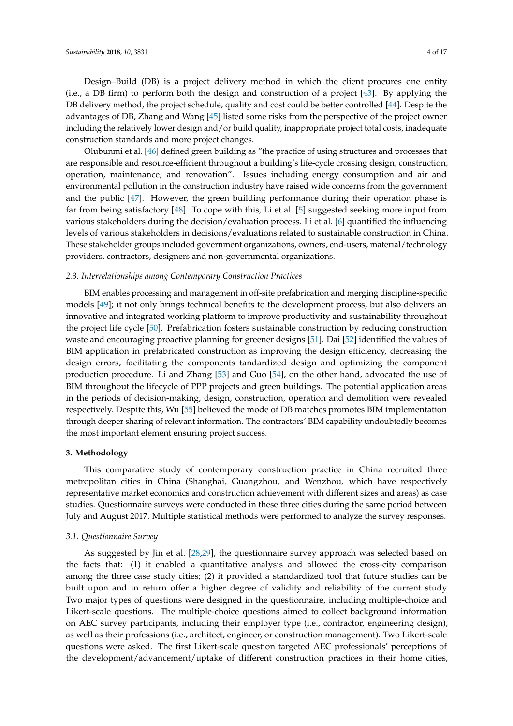Design–Build (DB) is a project delivery method in which the client procures one entity (i.e., a DB firm) to perform both the design and construction of a project [\[43\]](#page-15-2). By applying the DB delivery method, the project schedule, quality and cost could be better controlled [\[44\]](#page-15-3). Despite the advantages of DB, Zhang and Wang [\[45\]](#page-15-4) listed some risks from the perspective of the project owner including the relatively lower design and/or build quality, inappropriate project total costs, inadequate construction standards and more project changes.

Olubunmi et al. [\[46\]](#page-15-5) defined green building as "the practice of using structures and processes that are responsible and resource-efficient throughout a building's life-cycle crossing design, construction, operation, maintenance, and renovation". Issues including energy consumption and air and environmental pollution in the construction industry have raised wide concerns from the government and the public [\[47\]](#page-15-6). However, the green building performance during their operation phase is far from being satisfactory [\[48\]](#page-15-7). To cope with this, Li et al. [\[5\]](#page-13-15) suggested seeking more input from various stakeholders during the decision/evaluation process. Li et al. [\[6\]](#page-13-4) quantified the influencing levels of various stakeholders in decisions/evaluations related to sustainable construction in China. These stakeholder groups included government organizations, owners, end-users, material/technology providers, contractors, designers and non-governmental organizations.

## *2.3. Interrelationships among Contemporary Construction Practices*

BIM enables processing and management in off-site prefabrication and merging discipline-specific models [\[49\]](#page-15-8); it not only brings technical benefits to the development process, but also delivers an innovative and integrated working platform to improve productivity and sustainability throughout the project life cycle [\[50\]](#page-15-9). Prefabrication fosters sustainable construction by reducing construction waste and encouraging proactive planning for greener designs [\[51\]](#page-15-10). Dai [\[52\]](#page-15-11) identified the values of BIM application in prefabricated construction as improving the design efficiency, decreasing the design errors, facilitating the components tandardized design and optimizing the component production procedure. Li and Zhang [\[53\]](#page-15-12) and Guo [\[54\]](#page-15-13), on the other hand, advocated the use of BIM throughout the lifecycle of PPP projects and green buildings. The potential application areas in the periods of decision-making, design, construction, operation and demolition were revealed respectively. Despite this, Wu [\[55\]](#page-15-14) believed the mode of DB matches promotes BIM implementation through deeper sharing of relevant information. The contractors' BIM capability undoubtedly becomes the most important element ensuring project success.

#### **3. Methodology**

This comparative study of contemporary construction practice in China recruited three metropolitan cities in China (Shanghai, Guangzhou, and Wenzhou, which have respectively representative market economics and construction achievement with different sizes and areas) as case studies. Questionnaire surveys were conducted in these three cities during the same period between July and August 2017. Multiple statistical methods were performed to analyze the survey responses.

#### *3.1. Questionnaire Survey*

As suggested by Jin et al. [\[28,](#page-14-17)[29\]](#page-14-18), the questionnaire survey approach was selected based on the facts that: (1) it enabled a quantitative analysis and allowed the cross-city comparison among the three case study cities; (2) it provided a standardized tool that future studies can be built upon and in return offer a higher degree of validity and reliability of the current study. Two major types of questions were designed in the questionnaire, including multiple-choice and Likert-scale questions. The multiple-choice questions aimed to collect background information on AEC survey participants, including their employer type (i.e., contractor, engineering design), as well as their professions (i.e., architect, engineer, or construction management). Two Likert-scale questions were asked. The first Likert-scale question targeted AEC professionals' perceptions of the development/advancement/uptake of different construction practices in their home cities,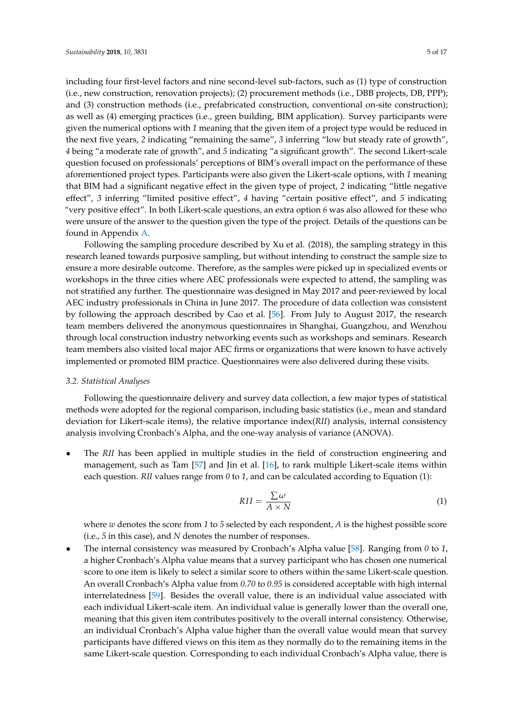including four first-level factors and nine second-level sub-factors, such as (1) type of construction (i.e., new construction, renovation projects); (2) procurement methods (i.e., DBB projects, DB, PPP); and (3) construction methods (i.e., prefabricated construction, conventional on-site construction); as well as (4) emerging practices (i.e., green building, BIM application). Survey participants were given the numerical options with *1* meaning that the given item of a project type would be reduced in the next five years, *2* indicating "remaining the same", *3* inferring "low but steady rate of growth", *4* being "a moderate rate of growth", and *5* indicating "a significant growth". The second Likert-scale question focused on professionals' perceptions of BIM's overall impact on the performance of these aforementioned project types. Participants were also given the Likert-scale options, with *1* meaning that BIM had a significant negative effect in the given type of project, *2* indicating "little negative effect", *3* inferring "limited positive effect", *4* having "certain positive effect", and *5* indicating "very positive effect". In both Likert-scale questions, an extra option *6* was also allowed for these who were unsure of the answer to the question given the type of the project. Details of the questions can be found in Appendix [A.](#page-12-0)

Following the sampling procedure described by Xu et al. (2018), the sampling strategy in this research leaned towards purposive sampling, but without intending to construct the sample size to ensure a more desirable outcome. Therefore, as the samples were picked up in specialized events or workshops in the three cities where AEC professionals were expected to attend, the sampling was not stratified any further. The questionnaire was designed in May 2017 and peer-reviewed by local AEC industry professionals in China in June 2017. The procedure of data collection was consistent by following the approach described by Cao et al. [\[56\]](#page-15-15). From July to August 2017, the research team members delivered the anonymous questionnaires in Shanghai, Guangzhou, and Wenzhou through local construction industry networking events such as workshops and seminars. Research team members also visited local major AEC firms or organizations that were known to have actively implemented or promoted BIM practice. Questionnaires were also delivered during these visits.

## *3.2. Statistical Analyses*

Following the questionnaire delivery and survey data collection, a few major types of statistical methods were adopted for the regional comparison, including basic statistics (i.e., mean and standard deviation for Likert-scale items), the relative importance index(*RII*) analysis, internal consistency analysis involving Cronbach's Alpha, and the one-way analysis of variance (ANOVA).

• The *RII* has been applied in multiple studies in the field of construction engineering and management, such as Tam [\[57\]](#page-15-16) and Jin et al. [\[16\]](#page-13-14), to rank multiple Likert-scale items within each question. *RII* values range from *0* to *1*, and can be calculated according to Equation (1):

$$
RII = \frac{\sum \omega}{A \times N} \tag{1}
$$

where *w* denotes the score from *1* to *5* selected by each respondent, *A* is the highest possible score (i.e., *5* in this case), and *N* denotes the number of responses.

• The internal consistency was measured by Cronbach's Alpha value [\[58\]](#page-15-17). Ranging from *0* to *1*, a higher Cronbach's Alpha value means that a survey participant who has chosen one numerical score to one item is likely to select a similar score to others within the same Likert-scale question. An overall Cronbach's Alpha value from *0.70* to *0.95* is considered acceptable with high internal interrelatedness [\[59\]](#page-15-18). Besides the overall value, there is an individual value associated with each individual Likert-scale item. An individual value is generally lower than the overall one, meaning that this given item contributes positively to the overall internal consistency. Otherwise, an individual Cronbach's Alpha value higher than the overall value would mean that survey participants have differed views on this item as they normally do to the remaining items in the same Likert-scale question. Corresponding to each individual Cronbach's Alpha value, there is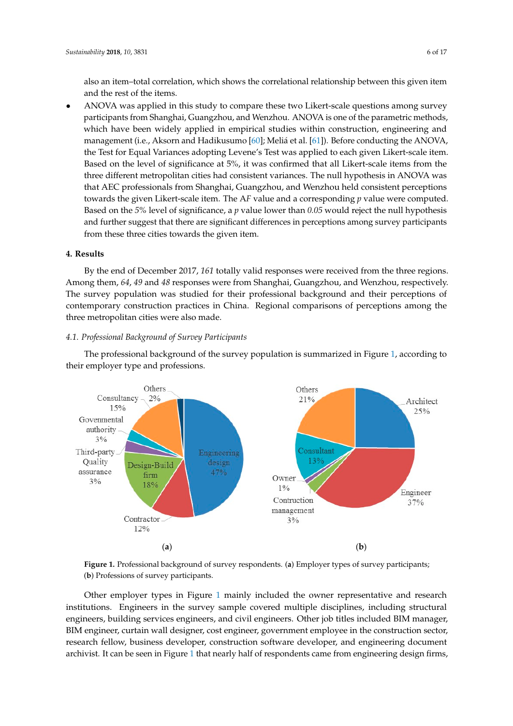also an item–total correlation, which shows the correlational relationship between this given item and the rest of the items.

• ANOVA was applied in this study to compare these two Likert-scale questions among survey participants from Shanghai, Guangzhou, and Wenzhou. ANOVA is one of the parametric methods, which have been widely applied in empirical studies within construction, engineering and management (i.e., Aksorn and Hadikusumo [60]; Meliá et al. [61]). Before conducting the ANOVA, the Test for Equal Variances adopting Levene's Test was applied to each given Likert-scale item. Based on the level of significance at 5%, it was confirmed that all Likert-scale items from the three different metropolitan cities had consistent variances. The null hypothesis in ANOVA was that AEC professionals from Shanghai, Guangzhou, and Wenzhou held consistent perceptions towards the given Likert-scale item. The AF value and a corresponding *p* value were computed. Based on the 5% level of significance, a *p* value lower than 0.05 would reject the null hypothesis and further suggest that there are significant differences in perceptions among survey participants from these three cities towards the given item.

## **4. Results 4. Results**

By the end of December 2017, *161* totally valid responses were received from the three regions. By the end of December 2017, *161* totally valid responses were received from the three regions. Among them, *64*, *49* and *48* responses were from Shanghai, Guangzhou, and Wenzhou, respectively. Among them, 64, 49 and 48 responses were from Shanghai, Guangzhou, and Wenzhou, respectively.<br>The survey population was studied for their professional background and their perceptions of contemporary construction practices in China. Regional comparisons of perceptions among the three metropolitan cities were also made. metropolitan cities were also made.

# *4.1. Professional Background of Survey Participants 4.1. Professional Background of Survey Participants*

The professional background of the survey population is summarized in Figure [1,](#page-5-0) according to The professional background of the survey population is summarized in Figure 1, according to their employer type and professions. their employer type and professions.

<span id="page-5-0"></span>

Figure 1. Professional background of survey respondents. (a) Employer types of survey participants; (**b**) Professions of survey participants. (**b**) Professions of survey participants.

Other employer types in Figure [1](#page-5-0) mainly included the owner representative and research Other employer types in Figure 1 mainly included the owner representative and research institutions. Engineers in the survey sample covered multiple disciplines, including structural institutions. Engineers in the survey sample covered multiple disciplines, including structural engineers, building services engineers, and civil engineers. Other job titles included BIM manager, engineers, building services engineers, and civil engineers. Other job titles included BIM manager, BIM engineer, curtain wall designer, cost engineer, government employee in the construction sector, BIM engineer, curtain wall designer, cost engineer, government employee in the construction sector, research fellow, business developer, construction software developer, and engineering document research fellow, business developer, construction software developer, and engineering document archivist. It can be seen in Fig[ure](#page-5-0) 1 that nearly half of respondents came from engineering design archivist. It can be seen in Figure 1 that nearly half of respondents came from engineering design firms,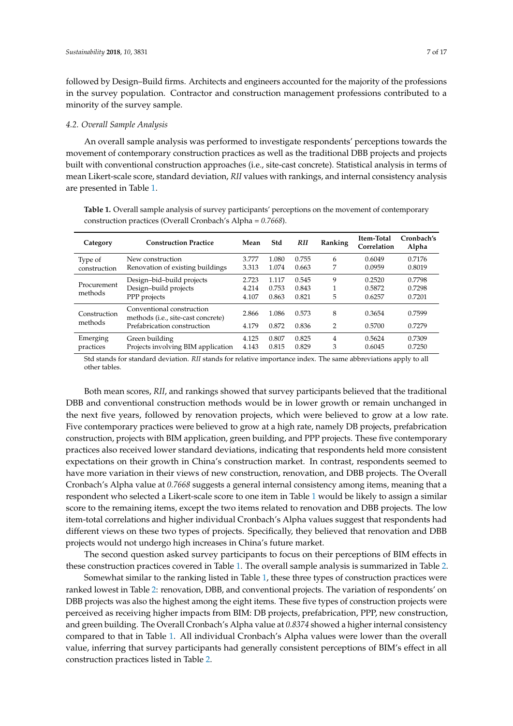followed by Design–Build firms. Architects and engineers accounted for the majority of the professions in the survey population. Contractor and construction management professions contributed to a minority of the survey sample.

#### *4.2. Overall Sample Analysis*

An overall sample analysis was performed to investigate respondents' perceptions towards the movement of contemporary construction practices as well as the traditional DBB projects and projects built with conventional construction approaches (i.e., site-cast concrete). Statistical analysis in terms of mean Likert-scale score, standard deviation, *RII* values with rankings, and internal consistency analysis are presented in Table [1.](#page-6-0)

<span id="page-6-0"></span>**Table 1.** Overall sample analysis of survey participants' perceptions on the movement of contemporary construction practices (Overall Cronbach's Alpha = *0.7668*).

| Category                | <b>Construction Practice</b>                                                                            | Mean                    | Std                     | <b>RII</b>              | Ranking             | <b>Item-Total</b><br>Correlation | Cronbach's<br>Alpha        |
|-------------------------|---------------------------------------------------------------------------------------------------------|-------------------------|-------------------------|-------------------------|---------------------|----------------------------------|----------------------------|
| Type of<br>construction | New construction<br>Renovation of existing buildings                                                    | 3.777<br>3.313          | 1.080<br>1.074          | 0.755<br>0.663          | 6<br>7              | 0.6049<br>0.0959                 | 0.7176<br>0.8019           |
| Procurement<br>methods  | Design-bid-build projects<br>Design-build projects<br>PPP projects                                      | 2.723<br>4.214<br>4.107 | 1.117<br>0.753<br>0.863 | 0.545<br>0.843<br>0.821 | 9<br>5              | 0.2520<br>0.5872<br>0.6257       | 0.7798<br>0.7298<br>0.7201 |
| Construction<br>methods | Conventional construction<br>methods ( <i>i.e.</i> , site-cast concrete)<br>Prefabrication construction | 2.866<br>4.179          | 1.086<br>0.872          | 0.573<br>0.836          | 8<br>$\overline{2}$ | 0.3654<br>0.5700                 | 0.7599<br>0.7279           |
| Emerging<br>practices   | Green building<br>Projects involving BIM application                                                    | 4.125<br>4.143          | 0.807<br>0.815          | 0.825<br>0.829          | 4<br>3              | 0.5624<br>0.6045                 | 0.7309<br>0.7250           |

Std stands for standard deviation. *RII* stands for relative importance index. The same abbreviations apply to all other tables.

Both mean scores, *RII*, and rankings showed that survey participants believed that the traditional DBB and conventional construction methods would be in lower growth or remain unchanged in the next five years, followed by renovation projects, which were believed to grow at a low rate. Five contemporary practices were believed to grow at a high rate, namely DB projects, prefabrication construction, projects with BIM application, green building, and PPP projects. These five contemporary practices also received lower standard deviations, indicating that respondents held more consistent expectations on their growth in China's construction market. In contrast, respondents seemed to have more variation in their views of new construction, renovation, and DBB projects. The Overall Cronbach's Alpha value at *0.7668* suggests a general internal consistency among items, meaning that a respondent who selected a Likert-scale score to one item in Table [1](#page-6-0) would be likely to assign a similar score to the remaining items, except the two items related to renovation and DBB projects. The low item-total correlations and higher individual Cronbach's Alpha values suggest that respondents had different views on these two types of projects. Specifically, they believed that renovation and DBB projects would not undergo high increases in China's future market.

The second question asked survey participants to focus on their perceptions of BIM effects in these construction practices covered in Table [1.](#page-6-0) The overall sample analysis is summarized in Table [2.](#page-7-0)

Somewhat similar to the ranking listed in Table [1,](#page-6-0) these three types of construction practices were ranked lowest in Table [2:](#page-7-0) renovation, DBB, and conventional projects. The variation of respondents' on DBB projects was also the highest among the eight items. These five types of construction projects were perceived as receiving higher impacts from BIM: DB projects, prefabrication, PPP, new construction, and green building. The Overall Cronbach's Alpha value at *0.8374* showed a higher internal consistency compared to that in Table [1.](#page-6-0) All individual Cronbach's Alpha values were lower than the overall value, inferring that survey participants had generally consistent perceptions of BIM's effect in all construction practices listed in Table [2.](#page-7-0)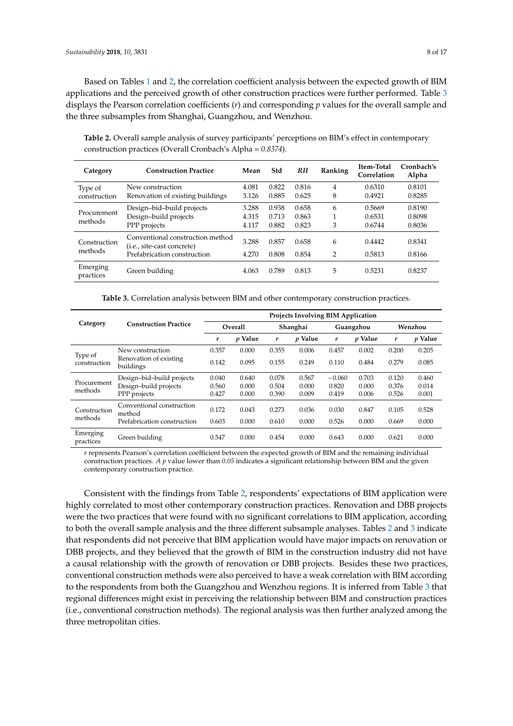Based on Tables [1](#page-6-0) and [2,](#page-7-0) the correlation coefficient analysis between the expected growth of BIM applications and the perceived growth of other construction practices were further performed. Table [3](#page-7-1) displays the Pearson correlation coefficients (*r*) and corresponding *p* values for the overall sample and the three subsamples from Shanghai, Guangzhou, and Wenzhou.

<span id="page-7-0"></span>**Table 2.** Overall sample analysis of survey participants' perceptions on BIM's effect in contemporary construction practices (Overall Cronbach's Alpha = *0.8374*).

| Category                | <b>Construction Practice</b>                                                                                   | Mean                    | Std                     | RH                      | Ranking             | Item-Total<br>Correlation  | Cronbach's<br>Alpha        |
|-------------------------|----------------------------------------------------------------------------------------------------------------|-------------------------|-------------------------|-------------------------|---------------------|----------------------------|----------------------------|
| Type of<br>construction | New construction<br>Renovation of existing buildings                                                           | 4.081<br>3.126          | 0.822<br>0.885          | 0.816<br>0.625          | 4<br>8              | 0.6310<br>0.4921           | 0.8101<br>0.8285           |
| Procurement<br>methods  | Design-bid-build projects<br>Design-build projects<br>PPP projects                                             | 3.288<br>4.315<br>4.117 | 0.938<br>0.713<br>0.882 | 0.658<br>0.863<br>0.823 | 6<br>1<br>3         | 0.5669<br>0.6531<br>0.6744 | 0.8190<br>0.8098<br>0.8036 |
| Construction<br>methods | Conventional construction method<br>( <i>i.e.</i> , <i>site-cast concrete</i> )<br>Prefabrication construction | 3.288<br>4.270          | 0.857<br>0.808          | 0.658<br>0.854          | 6<br>$\overline{2}$ | 0.4442<br>0.5813           | 0.8341<br>0.8166           |
| Emerging<br>practices   | Green building                                                                                                 | 4.063                   | 0.789                   | 0.813                   | 5                   | 0.5231                     | 0.8237                     |

**Table 3.** Correlation analysis between BIM and other contemporary construction practices.

<span id="page-7-1"></span>

|                         |                                     | <b>Projects Involving BIM Application</b> |                |          |                |           |                |         |         |  |  |
|-------------------------|-------------------------------------|-------------------------------------------|----------------|----------|----------------|-----------|----------------|---------|---------|--|--|
| Category                | <b>Construction Practice</b>        | Overall                                   |                | Shanghai |                | Guangzhou |                | Wenzhou |         |  |  |
|                         |                                     | r                                         | <i>v</i> Value | r        | <i>v</i> Value | r         | <i>v</i> Value | r       | p Value |  |  |
|                         | New construction                    | 0.357                                     | 0.000          | 0.355    | 0.006          | 0.457     | 0.002          | 0.200   | 0.205   |  |  |
| Type of<br>construction | Renovation of existing<br>buildings | 0.142                                     | 0.095          | 0.155    | 0.249          | 0.110     | 0.484          | 0.279   | 0.085   |  |  |
|                         | Design-bid-build projects           | 0.040                                     | 0.640          | 0.078    | 0.567          | $-0.060$  | 0.703          | 0.120   | 0.460   |  |  |
| Procurement<br>methods  | Design-build projects               | 0.560                                     | 0.000          | 0.504    | 0.000          | 0.820     | 0.000          | 0.376   | 0.014   |  |  |
|                         | PPP projects                        | 0.427                                     | 0.000          | 0.390    | 0.009          | 0.419     | 0.006          | 0.526   | 0.001   |  |  |
| Construction            | Conventional construction<br>method | 0.172                                     | 0.043          | 0.273    | 0.036          | 0.030     | 0.847          | 0.105   | 0.528   |  |  |
| methods                 | Prefabrication construction         | 0.603                                     | 0.000          | 0.610    | 0.000          | 0.526     | 0.000          | 0.669   | 0.000   |  |  |
| Emerging<br>practices   | Green building                      | 0.547                                     | 0.000          | 0.454    | 0.000          | 0.643     | 0.000          | 0.621   | 0.000   |  |  |

*r* represents Pearson's correlation coefficient between the expected growth of BIM and the remaining individual construction practices. *A p* value lower than *0.05* indicates a significant relationship between BIM and the given contemporary construction practice.

Consistent with the findings from Table [2,](#page-7-0) respondents' expectations of BIM application were highly correlated to most other contemporary construction practices. Renovation and DBB projects were the two practices that were found with no significant correlations to BIM application, according to both the overall sample analysis and the three different subsample analyses. Tables [2](#page-7-0) and [3](#page-7-1) indicate that respondents did not perceive that BIM application would have major impacts on renovation or DBB projects, and they believed that the growth of BIM in the construction industry did not have a causal relationship with the growth of renovation or DBB projects. Besides these two practices, conventional construction methods were also perceived to have a weak correlation with BIM according to the respondents from both the Guangzhou and Wenzhou regions. It is inferred from Table [3](#page-7-1) that regional differences might exist in perceiving the relationship between BIM and construction practices (i.e., conventional construction methods). The regional analysis was then further analyzed among the three metropolitan cities.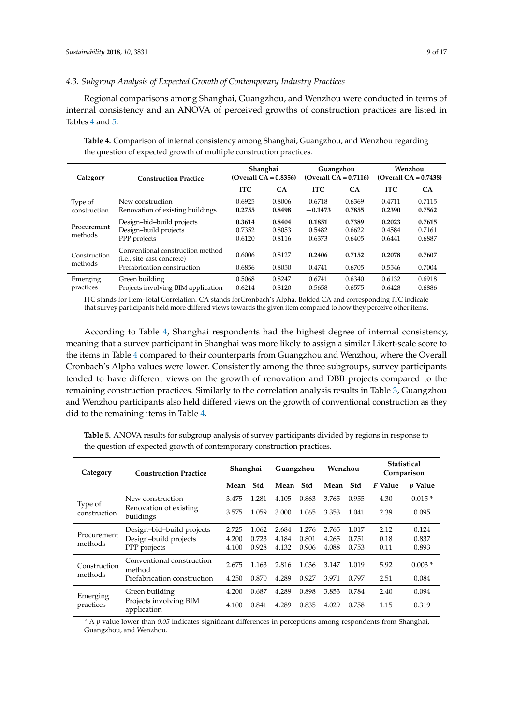## *4.3. Subgroup Analysis of Expected Growth of Contemporary Industry Practices*

Regional comparisons among Shanghai, Guangzhou, and Wenzhou were conducted in terms of internal consistency and an ANOVA of perceived growths of construction practices are listed in Tables [4](#page-8-0) and [5.](#page-8-1)

**Category Construction Practice Shanghai (Overall CA = 0.8356) Guangzhou (Overall CA = 0.7116) Wenzhou (Overall CA = 0.7438) ITC CA ITC CA ITC CA** Type of construction New construction 0.6925 0.8006 0.6718 0.6369 0.4711 0.7115 Renovation of existing buildings **0.2755 0.8498** −**0.1473 0.7855 0.2390 0.7562** Procurement methods Design–bid–build projects **0.3614 0.8404 0.1851 0.7389 0.2023 0.7615** Design–build projects 0.7352 0.8053 0.5482 0.6622 0.4584 0.7161 PPP projects Construction methods Conventional construction method (i.e., site-cast concrete) 0.6006 0.8127 **0.2406 0.7152 0.2078 0.7607** Prefabrication construction Emerging practices Green building 0.5068 0.8247 0.6741 0.6340 0.6132 0.6918 Projects involving BIM application

<span id="page-8-0"></span>**Table 4.** Comparison of internal consistency among Shanghai, Guangzhou, and Wenzhou regarding the question of expected growth of multiple construction practices.

ITC stands for Item-Total Correlation. CA stands forCronbach's Alpha. Bolded CA and corresponding ITC indicate that survey participants held more differed views towards the given item compared to how they perceive other items.

According to Table [4,](#page-8-0) Shanghai respondents had the highest degree of internal consistency, meaning that a survey participant in Shanghai was more likely to assign a similar Likert-scale score to the items in Table [4](#page-8-0) compared to their counterparts from Guangzhou and Wenzhou, where the Overall Cronbach's Alpha values were lower. Consistently among the three subgroups, survey participants tended to have different views on the growth of renovation and DBB projects compared to the remaining construction practices. Similarly to the correlation analysis results in Table [3,](#page-7-1) Guangzhou and Wenzhou participants also held differed views on the growth of conventional construction as they did to the remaining items in Table [4.](#page-8-0)

<span id="page-8-1"></span>**Table 5.** ANOVA results for subgroup analysis of survey participants divided by regions in response to the question of expected growth of contemporary construction practices.

| Category               | <b>Construction Practice</b>          | Shanghai |       | Guangzhou |       | Wenzhou |       | <b>Statistical</b><br>Comparison |           |
|------------------------|---------------------------------------|----------|-------|-----------|-------|---------|-------|----------------------------------|-----------|
|                        |                                       | Mean     | Std   | Mean      | Std   | Mean    | Std   | F Value                          | $p$ Value |
| Type of                | New construction                      | 3.475    | 1.281 | 4.105     | 0.863 | 3.765   | 0.955 | 4.30                             | $0.015*$  |
| construction           | Renovation of existing<br>buildings   | 3.575    | 1.059 | 3.000     | 1.065 | 3.353   | 1.041 | 2.39                             | 0.095     |
|                        | Design-bid-build projects             | 2.725    | 1.062 | 2.684     | 1.276 | 2.765   | 1.017 | 2.12                             | 0.124     |
| Procurement<br>methods | Design-build projects                 | 4.200    | 0.723 | 4.184     | 0.801 | 4.265   | 0.751 | 0.18                             | 0.837     |
|                        | PPP projects                          | 4.100    | 0.928 | 4.132     | 0.906 | 4.088   | 0.753 | 0.11                             | 0.893     |
| Construction           | Conventional construction<br>method   | 2.675    | 1.163 | 2.816     | 1.036 | 3.147   | 1.019 | 5.92                             | $0.003*$  |
| methods                | Prefabrication construction           | 4.250    | 0.870 | 4.289     | 0.927 | 3.971   | 0.797 | 2.51                             | 0.084     |
| Emerging               | Green building                        | 4.200    | 0.687 | 4.289     | 0.898 | 3.853   | 0.784 | 2.40                             | 0.094     |
| practices              | Projects involving BIM<br>application | 4.100    | 0.841 | 4.289     | 0.835 | 4.029   | 0.758 | 1.15                             | 0.319     |

*\** A *p* value lower than *0.05* indicates significant differences in perceptions among respondents from Shanghai, Guangzhou, and Wenzhou.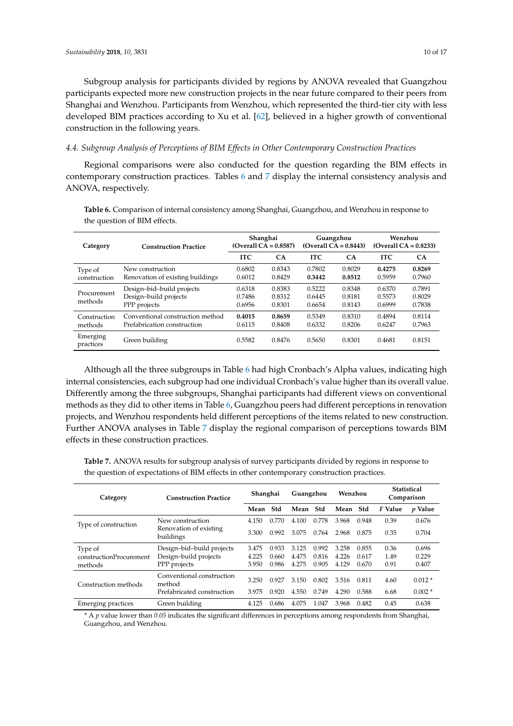Subgroup analysis for participants divided by regions by ANOVA revealed that Guangzhou participants expected more new construction projects in the near future compared to their peers from Shanghai and Wenzhou. Participants from Wenzhou, which represented the third-tier city with less developed BIM practices according to Xu et al. [\[62\]](#page-15-21), believed in a higher growth of conventional construction in the following years.

## *4.4. Subgroup Analysis of Perceptions of BIM Effects in Other Contemporary Construction Practices*

Regional comparisons were also conducted for the question regarding the BIM effects in contemporary construction practices. Tables [6](#page-9-0) and [7](#page-9-1) display the internal consistency analysis and ANOVA, respectively.

<span id="page-9-0"></span>**Table 6.** Comparison of internal consistency among Shanghai, Guangzhou, and Wenzhou in response to the question of BIM effects.

| Category                | <b>Construction Practice</b>                                       |                            | Shanghai<br>$(Overall CA = 0.8587)$ | Guangzhou                  | $(Overall CA = 0.8443)$    | Wenzhou<br>$(Overall CA = 0.8233)$ |                            |  |
|-------------------------|--------------------------------------------------------------------|----------------------------|-------------------------------------|----------------------------|----------------------------|------------------------------------|----------------------------|--|
|                         |                                                                    | <b>ITC</b>                 | <b>CA</b>                           | <b>ITC</b>                 | CA                         | <b>ITC</b>                         | <b>CA</b>                  |  |
| Type of<br>construction | New construction<br>Renovation of existing buildings               | 0.6802<br>0.6012           | 0.8343<br>0.8429                    | 0.7802<br>0.3442           | 0.8029<br>0.8512           | 0.4275<br>0.5959                   | 0.8269<br>0.7960           |  |
| Procurement<br>methods  | Design-bid-build projects<br>Design-build projects<br>PPP projects | 0.6318<br>0.7486<br>0.6956 | 0.8383<br>0.8312<br>0.8301          | 0.5222<br>0.6445<br>0.6654 | 0.8348<br>0.8181<br>0.8143 | 0.6370<br>0.5573<br>0.6999         | 0.7891<br>0.8029<br>0.7838 |  |
| Construction<br>methods | Conventional construction method<br>Prefabrication construction    | 0.4015<br>0.6115           | 0.8659<br>0.8408                    | 0.5349<br>0.6332           | 0.8310<br>0.8206           | 0.4894<br>0.6247                   | 0.8114<br>0.7963           |  |
| Emerging<br>practices   | Green building                                                     | 0.5582                     | 0.8476                              | 0.5650                     | 0.8301                     | 0.4681                             | 0.8151                     |  |

Although all the three subgroups in Table [6](#page-9-0) had high Cronbach's Alpha values, indicating high internal consistencies, each subgroup had one individual Cronbach's value higher than its overall value. Differently among the three subgroups, Shanghai participants had different views on conventional methods as they did to other items in Table [6,](#page-9-0) Guangzhou peers had different perceptions in renovation projects, and Wenzhou respondents held different perceptions of the items related to new construction. Further ANOVA analyses in Table [7](#page-9-1) display the regional comparison of perceptions towards BIM effects in these construction practices.

<span id="page-9-1"></span>**Table 7.** ANOVA results for subgroup analysis of survey participants divided by regions in response to the question of expectations of BIM effects in other contemporary construction practices.

| Category                  | <b>Construction Practice</b>        | Shanghai |       | Guangzhou |       | Wenzhou |       | <b>Statistical</b><br>Comparison |                |
|---------------------------|-------------------------------------|----------|-------|-----------|-------|---------|-------|----------------------------------|----------------|
|                           |                                     | Mean     | Std   | Mean      | Std   | Mean    | Std   | F Value                          | <i>v</i> Value |
| Type of construction      | New construction                    | 4.150    | 0.770 | 4.100     | 0.778 | 3.968   | 0.948 | 0.39                             | 0.676          |
|                           | Renovation of existing<br>buildings | 3.300    | 0.992 | 3.075     | 0.764 | 2.968   | 0.875 | 0.35                             | 0.704          |
| Type of                   | Design-bid-build projects           | 3.475    | 0.933 | 3.125     | 0.992 | 3.258   | 0.855 | 0.36                             | 0.696          |
| constructionProcurement   | Design-build projects               | 4.225    | 0.660 | 4.475     | 0.816 | 4.226   | 0.617 | 1.49                             | 0.229          |
| methods                   | PPP projects                        | 3.950    | 0.986 | 4.275     | 0.905 | 4.129   | 0.670 | 0.91                             | 0.407          |
| Construction methods      | Conventional construction<br>method | 3.250    | 0.927 | 3.150     | 0.802 | 3.516   | 0.811 | 4.60                             | $0.012*$       |
|                           | Prefabricated construction          | 3.975    | 0.920 | 4.550     | 0.749 | 4.290   | 0.588 | 6.68                             | $0.002*$       |
| <b>Emerging practices</b> | Green building                      | 4.125    | 0.686 | 4.075     | 1.047 | 3.968   | 0.482 | 0.45                             | 0.638          |

*\** A *p* value lower than *0.05* indicates the significant differences in perceptions among respondents from Shanghai, Guangzhou, and Wenzhou.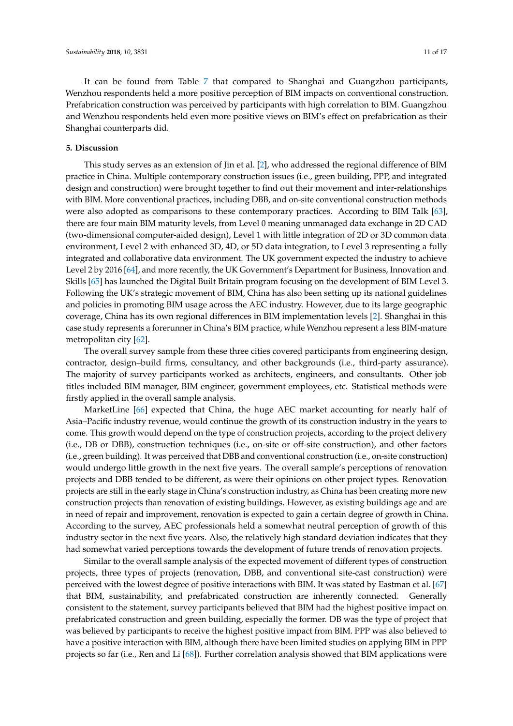It can be found from Table [7](#page-9-1) that compared to Shanghai and Guangzhou participants, Wenzhou respondents held a more positive perception of BIM impacts on conventional construction. Prefabrication construction was perceived by participants with high correlation to BIM. Guangzhou and Wenzhou respondents held even more positive views on BIM's effect on prefabrication as their Shanghai counterparts did.

## **5. Discussion**

This study serves as an extension of Jin et al. [\[2\]](#page-13-1), who addressed the regional difference of BIM practice in China. Multiple contemporary construction issues (i.e., green building, PPP, and integrated design and construction) were brought together to find out their movement and inter-relationships with BIM. More conventional practices, including DBB, and on-site conventional construction methods were also adopted as comparisons to these contemporary practices. According to BIM Talk [\[63\]](#page-15-22), there are four main BIM maturity levels, from Level 0 meaning unmanaged data exchange in 2D CAD (two-dimensional computer-aided design), Level 1 with little integration of 2D or 3D common data environment, Level 2 with enhanced 3D, 4D, or 5D data integration, to Level 3 representing a fully integrated and collaborative data environment. The UK government expected the industry to achieve Level 2 by 2016 [\[64\]](#page-15-23), and more recently, the UK Government's Department for Business, Innovation and Skills [\[65\]](#page-15-24) has launched the Digital Built Britain program focusing on the development of BIM Level 3. Following the UK's strategic movement of BIM, China has also been setting up its national guidelines and policies in promoting BIM usage across the AEC industry. However, due to its large geographic coverage, China has its own regional differences in BIM implementation levels [\[2\]](#page-13-1). Shanghai in this case study represents a forerunner in China's BIM practice, while Wenzhou represent a less BIM-mature metropolitan city [\[62\]](#page-15-21).

The overall survey sample from these three cities covered participants from engineering design, contractor, design–build firms, consultancy, and other backgrounds (i.e., third-party assurance). The majority of survey participants worked as architects, engineers, and consultants. Other job titles included BIM manager, BIM engineer, government employees, etc. Statistical methods were firstly applied in the overall sample analysis.

MarketLine [\[66\]](#page-16-0) expected that China, the huge AEC market accounting for nearly half of Asia–Pacific industry revenue, would continue the growth of its construction industry in the years to come. This growth would depend on the type of construction projects, according to the project delivery (i.e., DB or DBB), construction techniques (i.e., on-site or off-site construction), and other factors (i.e., green building). It was perceived that DBB and conventional construction (i.e., on-site construction) would undergo little growth in the next five years. The overall sample's perceptions of renovation projects and DBB tended to be different, as were their opinions on other project types. Renovation projects are still in the early stage in China's construction industry, as China has been creating more new construction projects than renovation of existing buildings. However, as existing buildings age and are in need of repair and improvement, renovation is expected to gain a certain degree of growth in China. According to the survey, AEC professionals held a somewhat neutral perception of growth of this industry sector in the next five years. Also, the relatively high standard deviation indicates that they had somewhat varied perceptions towards the development of future trends of renovation projects.

Similar to the overall sample analysis of the expected movement of different types of construction projects, three types of projects (renovation, DBB, and conventional site-cast construction) were perceived with the lowest degree of positive interactions with BIM. It was stated by Eastman et al. [\[67\]](#page-16-1) that BIM, sustainability, and prefabricated construction are inherently connected. Generally consistent to the statement, survey participants believed that BIM had the highest positive impact on prefabricated construction and green building, especially the former. DB was the type of project that was believed by participants to receive the highest positive impact from BIM. PPP was also believed to have a positive interaction with BIM, although there have been limited studies on applying BIM in PPP projects so far (i.e., Ren and Li [\[68\]](#page-16-2)). Further correlation analysis showed that BIM applications were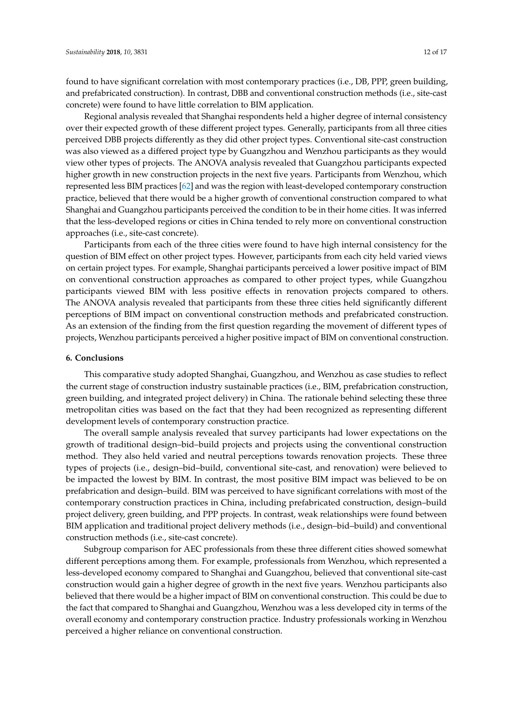found to have significant correlation with most contemporary practices (i.e., DB, PPP, green building, and prefabricated construction). In contrast, DBB and conventional construction methods (i.e., site-cast concrete) were found to have little correlation to BIM application.

Regional analysis revealed that Shanghai respondents held a higher degree of internal consistency over their expected growth of these different project types. Generally, participants from all three cities perceived DBB projects differently as they did other project types. Conventional site-cast construction was also viewed as a differed project type by Guangzhou and Wenzhou participants as they would view other types of projects. The ANOVA analysis revealed that Guangzhou participants expected higher growth in new construction projects in the next five years. Participants from Wenzhou, which represented less BIM practices [\[62\]](#page-15-21) and was the region with least-developed contemporary construction practice, believed that there would be a higher growth of conventional construction compared to what Shanghai and Guangzhou participants perceived the condition to be in their home cities. It was inferred that the less-developed regions or cities in China tended to rely more on conventional construction approaches (i.e., site-cast concrete).

Participants from each of the three cities were found to have high internal consistency for the question of BIM effect on other project types. However, participants from each city held varied views on certain project types. For example, Shanghai participants perceived a lower positive impact of BIM on conventional construction approaches as compared to other project types, while Guangzhou participants viewed BIM with less positive effects in renovation projects compared to others. The ANOVA analysis revealed that participants from these three cities held significantly different perceptions of BIM impact on conventional construction methods and prefabricated construction. As an extension of the finding from the first question regarding the movement of different types of projects, Wenzhou participants perceived a higher positive impact of BIM on conventional construction.

## **6. Conclusions**

This comparative study adopted Shanghai, Guangzhou, and Wenzhou as case studies to reflect the current stage of construction industry sustainable practices (i.e., BIM, prefabrication construction, green building, and integrated project delivery) in China. The rationale behind selecting these three metropolitan cities was based on the fact that they had been recognized as representing different development levels of contemporary construction practice.

The overall sample analysis revealed that survey participants had lower expectations on the growth of traditional design–bid–build projects and projects using the conventional construction method. They also held varied and neutral perceptions towards renovation projects. These three types of projects (i.e., design–bid–build, conventional site-cast, and renovation) were believed to be impacted the lowest by BIM. In contrast, the most positive BIM impact was believed to be on prefabrication and design–build. BIM was perceived to have significant correlations with most of the contemporary construction practices in China, including prefabricated construction, design–build project delivery, green building, and PPP projects. In contrast, weak relationships were found between BIM application and traditional project delivery methods (i.e., design–bid–build) and conventional construction methods (i.e., site-cast concrete).

Subgroup comparison for AEC professionals from these three different cities showed somewhat different perceptions among them. For example, professionals from Wenzhou, which represented a less-developed economy compared to Shanghai and Guangzhou, believed that conventional site-cast construction would gain a higher degree of growth in the next five years. Wenzhou participants also believed that there would be a higher impact of BIM on conventional construction. This could be due to the fact that compared to Shanghai and Guangzhou, Wenzhou was a less developed city in terms of the overall economy and contemporary construction practice. Industry professionals working in Wenzhou perceived a higher reliance on conventional construction.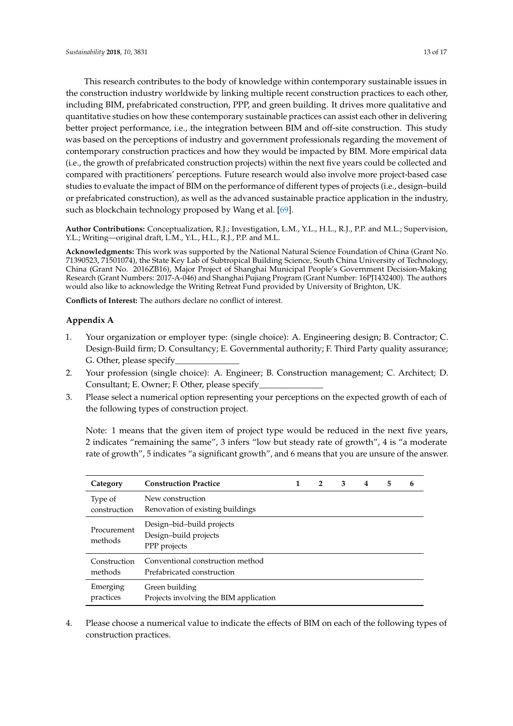This research contributes to the body of knowledge within contemporary sustainable issues in the construction industry worldwide by linking multiple recent construction practices to each other, including BIM, prefabricated construction, PPP, and green building. It drives more qualitative and quantitative studies on how these contemporary sustainable practices can assist each other in delivering better project performance, i.e., the integration between BIM and off-site construction. This study was based on the perceptions of industry and government professionals regarding the movement of contemporary construction practices and how they would be impacted by BIM. More empirical data (i.e., the growth of prefabricated construction projects) within the next five years could be collected and compared with practitioners' perceptions. Future research would also involve more project-based case studies to evaluate the impact of BIM on the performance of different types of projects (i.e., design–build or prefabricated construction), as well as the advanced sustainable practice application in the industry, such as blockchain technology proposed by Wang et al. [\[69\]](#page-16-3).

**Author Contributions:** Conceptualization, R.J.; Investigation, L.M., Y.L., H.L., R.J., P.P. and M.L.; Supervision, Y.L.; Writing—original draft, L.M., Y.L., H.L., R.J., P.P. and M.L.

**Acknowledgments:** This work was supported by the National Natural Science Foundation of China (Grant No. 71390523, 71501074), the State Key Lab of Subtropical Building Science, South China University of Technology, China (Grant No. 2016ZB16), Major Project of Shanghai Municipal People's Government Decision-Making Research (Grant Numbers: 2017-A-046) and Shanghai Pujiang Program (Grant Number: 16PJ1432400). The authors would also like to acknowledge the Writing Retreat Fund provided by University of Brighton, UK.

**Conflicts of Interest:** The authors declare no conflict of interest.

## <span id="page-12-0"></span>**Appendix A**

- 1. Your organization or employer type: (single choice): A. Engineering design; B. Contractor; C. Design-Build firm; D. Consultancy; E. Governmental authority; F. Third Party quality assurance; G. Other, please specify
- 2. Your profession (single choice): A. Engineer; B. Construction management; C. Architect; D. Consultant; E. Owner; F. Other, please specify\_
- 3. Please select a numerical option representing your perceptions on the expected growth of each of the following types of construction project.

Note: 1 means that the given item of project type would be reduced in the next five years, 2 indicates "remaining the same", 3 infers "low but steady rate of growth", 4 is "a moderate rate of growth", 5 indicates "a significant growth", and 6 means that you are unsure of the answer.

| Category                | <b>Construction Practice</b>                                       | 1 | $\overline{2}$ | 3 | 4 | 5 | 6 |
|-------------------------|--------------------------------------------------------------------|---|----------------|---|---|---|---|
| Type of<br>construction | New construction<br>Renovation of existing buildings               |   |                |   |   |   |   |
| Procurement<br>methods  | Design-bid-build projects<br>Design-build projects<br>PPP projects |   |                |   |   |   |   |
| Construction<br>methods | Conventional construction method<br>Prefabricated construction     |   |                |   |   |   |   |
| Emerging<br>practices   | Green building<br>Projects involving the BIM application           |   |                |   |   |   |   |

4. Please choose a numerical value to indicate the effects of BIM on each of the following types of construction practices.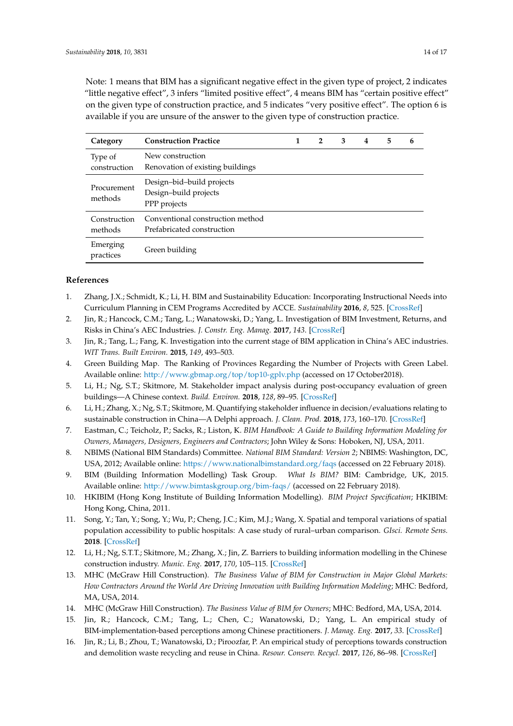Note: 1 means that BIM has a significant negative effect in the given type of project, 2 indicates "little negative effect", 3 infers "limited positive effect", 4 means BIM has "certain positive effect" on the given type of construction practice, and 5 indicates "very positive effect". The option 6 is available if you are unsure of the answer to the given type of construction practice.

| Category                | <b>Construction Practice</b>                                       | 1 | $\overline{2}$ | 3 | 4 | 5 | 6 |
|-------------------------|--------------------------------------------------------------------|---|----------------|---|---|---|---|
| Type of<br>construction | New construction<br>Renovation of existing buildings               |   |                |   |   |   |   |
| Procurement<br>methods  | Design-bid-build projects<br>Design-build projects<br>PPP projects |   |                |   |   |   |   |
| Construction<br>methods | Conventional construction method<br>Prefabricated construction     |   |                |   |   |   |   |
| Emerging<br>practices   | Green building                                                     |   |                |   |   |   |   |

## **References**

- <span id="page-13-0"></span>1. Zhang, J.X.; Schmidt, K.; Li, H. BIM and Sustainability Education: Incorporating Instructional Needs into Curriculum Planning in CEM Programs Accredited by ACCE. *Sustainability* **2016**, *8*, 525. [\[CrossRef\]](http://dx.doi.org/10.3390/su8060525)
- <span id="page-13-1"></span>2. Jin, R.; Hancock, C.M.; Tang, L.; Wanatowski, D.; Yang, L. Investigation of BIM Investment, Returns, and Risks in China's AEC Industries. *J. Constr. Eng. Manag.* **2017**, *143*. [\[CrossRef\]](http://dx.doi.org/10.1061/(ASCE)CO.1943-7862.0001408)
- <span id="page-13-2"></span>3. Jin, R.; Tang, L.; Fang, K. Investigation into the current stage of BIM application in China's AEC industries. *WIT Trans. Built Environ.* **2015**, *149*, 493–503.
- <span id="page-13-3"></span>4. Green Building Map. The Ranking of Provinces Regarding the Number of Projects with Green Label. Available online: <http://www.gbmap.org/top/top10-gplv.php> (accessed on 17 October2018).
- <span id="page-13-15"></span>5. Li, H.; Ng, S.T.; Skitmore, M. Stakeholder impact analysis during post-occupancy evaluation of green buildings—A Chinese context. *Build. Environ.* **2018**, *128*, 89–95. [\[CrossRef\]](http://dx.doi.org/10.1016/j.buildenv.2017.11.014)
- <span id="page-13-4"></span>6. Li, H.; Zhang, X.; Ng, S.T.; Skitmore, M. Quantifying stakeholder influence in decision/evaluations relating to sustainable construction in China—A Delphi approach. *J. Clean. Prod.* **2018**, *173*, 160–170. [\[CrossRef\]](http://dx.doi.org/10.1016/j.jclepro.2017.04.151)
- <span id="page-13-5"></span>7. Eastman, C.; Teicholz, P.; Sacks, R.; Liston, K. *BIM Handbook: A Guide to Building Information Modeling for Owners, Managers, Designers, Engineers and Contractors*; John Wiley & Sons: Hoboken, NJ, USA, 2011.
- <span id="page-13-6"></span>8. NBIMS (National BIM Standards) Committee. *National BIM Standard: Version 2*; NBIMS: Washington, DC, USA, 2012; Available online: <https://www.nationalbimstandard.org/faqs> (accessed on 22 February 2018).
- <span id="page-13-7"></span>9. BIM (Building Information Modelling) Task Group. *What Is BIM?* BIM: Cambridge, UK, 2015. Available online: <http://www.bimtaskgroup.org/bim-faqs/> (accessed on 22 February 2018).
- <span id="page-13-8"></span>10. HKIBIM (Hong Kong Institute of Building Information Modelling). *BIM Project Specification*; HKIBIM: Hong Kong, China, 2011.
- <span id="page-13-9"></span>11. Song, Y.; Tan, Y.; Song, Y.; Wu, P.; Cheng, J.C.; Kim, M.J.; Wang, X. Spatial and temporal variations of spatial population accessibility to public hospitals: A case study of rural–urban comparison. *GIsci. Remote Sens.* **2018**. [\[CrossRef\]](http://dx.doi.org/10.1080/15481603.2018.1446713)
- <span id="page-13-10"></span>12. Li, H.; Ng, S.T.T.; Skitmore, M.; Zhang, X.; Jin, Z. Barriers to building information modelling in the Chinese construction industry. *Munic. Eng.* **2017**, *170*, 105–115. [\[CrossRef\]](http://dx.doi.org/10.1680/jmuen.16.00059)
- <span id="page-13-11"></span>13. MHC (McGraw Hill Construction). *The Business Value of BIM for Construction in Major Global Markets: How Contractors Around the World Are Driving Innovation with Building Information Modeling*; MHC: Bedford, MA, USA, 2014.
- <span id="page-13-12"></span>14. MHC (McGraw Hill Construction). *The Business Value of BIM for Owners*; MHC: Bedford, MA, USA, 2014.
- <span id="page-13-13"></span>15. Jin, R.; Hancock, C.M.; Tang, L.; Chen, C.; Wanatowski, D.; Yang, L. An empirical study of BIM-implementation-based perceptions among Chinese practitioners. *J. Manag. Eng.* **2017**, *33*. [\[CrossRef\]](http://dx.doi.org/10.1061/(ASCE)ME.1943-5479.0000538)
- <span id="page-13-14"></span>16. Jin, R.; Li, B.; Zhou, T.; Wanatowski, D.; Piroozfar, P. An empirical study of perceptions towards construction and demolition waste recycling and reuse in China. *Resour. Conserv. Recycl.* **2017**, *126*, 86–98. [\[CrossRef\]](http://dx.doi.org/10.1016/j.resconrec.2017.07.034)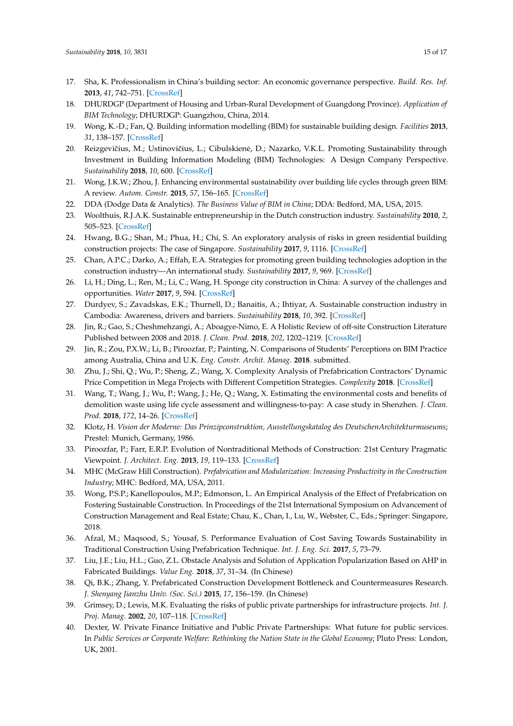- <span id="page-14-0"></span>17. Sha, K. Professionalism in China's building sector: An economic governance perspective. *Build. Res. Inf.* **2013**, *41*, 742–751. [\[CrossRef\]](http://dx.doi.org/10.1080/09613218.2013.842459)
- <span id="page-14-1"></span>18. DHURDGP (Department of Housing and Urban-Rural Development of Guangdong Province). *Application of BIM Technology*; DHURDGP: Guangzhou, China, 2014.
- <span id="page-14-2"></span>19. Wong, K.-D.; Fan, Q. Building information modelling (BIM) for sustainable building design. *Facilities* **2013**, *31*, 138–157. [\[CrossRef\]](http://dx.doi.org/10.1108/02632771311299412)
- <span id="page-14-3"></span>20. Reizgevičius, M.; Ustinovičius, L.; Cibulskienė, D.; Nazarko, V.K.L. Promoting Sustainability through Investment in Building Information Modeling (BIM) Technologies: A Design Company Perspective. *Sustainability* **2018**, *10*, 600. [\[CrossRef\]](http://dx.doi.org/10.3390/su10030600)
- <span id="page-14-4"></span>21. Wong, J.K.W.; Zhou, J. Enhancing environmental sustainability over building life cycles through green BIM: A review. *Autom. Constr.* **2015**, *57*, 156–165. [\[CrossRef\]](http://dx.doi.org/10.1016/j.autcon.2015.06.003)
- <span id="page-14-5"></span>22. DDA (Dodge Data & Analytics). *The Business Value of BIM in China*; DDA: Bedford, MA, USA, 2015.
- <span id="page-14-6"></span>23. Woolthuis, R.J.A.K. Sustainable entrepreneurship in the Dutch construction industry. *Sustainability* **2010**, *2*, 505–523. [\[CrossRef\]](http://dx.doi.org/10.3390/su2020505)
- 24. Hwang, B.G.; Shan, M.; Phua, H.; Chi, S. An exploratory analysis of risks in green residential building construction projects: The case of Singapore. *Sustainability* **2017**, *9*, 1116. [\[CrossRef\]](http://dx.doi.org/10.3390/su9071116)
- 25. Chan, A.P.C.; Darko, A.; Effah, E.A. Strategies for promoting green building technologies adoption in the construction industry—An international study. *Sustainability* **2017**, *9*, 969. [\[CrossRef\]](http://dx.doi.org/10.3390/su9060969)
- 26. Li, H.; Ding, L.; Ren, M.; Li, C.; Wang, H. Sponge city construction in China: A survey of the challenges and opportunities. *Water* **2017**, *9*, 594. [\[CrossRef\]](http://dx.doi.org/10.3390/w9090594)
- 27. Durdyev, S.; Zavadskas, E.K.; Thurnell, D.; Banaitis, A.; Ihtiyar, A. Sustainable construction industry in Cambodia: Awareness, drivers and barriers. *Sustainability* **2018**, *10*, 392. [\[CrossRef\]](http://dx.doi.org/10.3390/su10020392)
- <span id="page-14-17"></span>28. Jin, R.; Gao, S.; Cheshmehzangi, A.; Aboagye-Nimo, E. A Holistic Review of off-site Construction Literature Published between 2008 and 2018. *J. Clean. Prod.* **2018**, *202*, 1202–1219. [\[CrossRef\]](http://dx.doi.org/10.1016/j.jclepro.2018.08.195)
- <span id="page-14-18"></span>29. Jin, R.; Zou, P.X.W.; Li, B.; Piroozfar, P.; Painting, N. Comparisons of Students' Perceptions on BIM Practice among Australia, China and U.K. *Eng. Constr. Archit. Manag.* **2018**. submitted.
- 30. Zhu, J.; Shi, Q.; Wu, P.; Sheng, Z.; Wang, X. Complexity Analysis of Prefabrication Contractors' Dynamic Price Competition in Mega Projects with Different Competition Strategies. *Complexity* **2018**. [\[CrossRef\]](http://dx.doi.org/10.1155/2018/5928235)
- <span id="page-14-7"></span>31. Wang, T.; Wang, J.; Wu, P.; Wang, J.; He, Q.; Wang, X. Estimating the environmental costs and benefits of demolition waste using life cycle assessment and willingness-to-pay: A case study in Shenzhen. *J. Clean. Prod.* **2018**, *172*, 14–26. [\[CrossRef\]](http://dx.doi.org/10.1016/j.jclepro.2017.10.168)
- <span id="page-14-8"></span>32. Klotz, H. *Vision der Moderne: Das Prinzipconstruktion, Ausstellungskatalog des DeutschenArchitekturmuseums*; Prestel: Munich, Germany, 1986.
- <span id="page-14-9"></span>33. Piroozfar, P.; Farr, E.R.P. Evolution of Nontraditional Methods of Construction: 21st Century Pragmatic Viewpoint. *J. Architect. Eng.* **2013**, *19*, 119–133. [\[CrossRef\]](http://dx.doi.org/10.1061/(ASCE)AE.1943-5568.0000078)
- <span id="page-14-10"></span>34. MHC (McGraw Hill Construction). *Prefabrication and Modularization: Increasing Productivity in the Construction Industry*; MHC: Bedford, MA, USA, 2011.
- <span id="page-14-11"></span>35. Wong, P.S.P.; Kanellopoulos, M.P.; Edmonson, L. An Empirical Analysis of the Effect of Prefabrication on Fostering Sustainable Construction. In Proceedings of the 21st International Symposium on Advancement of Construction Management and Real Estate; Chau, K., Chan, I., Lu, W., Webster, C., Eds.; Springer: Singapore, 2018.
- <span id="page-14-12"></span>36. Afzal, M.; Maqsood, S.; Yousaf, S. Performance Evaluation of Cost Saving Towards Sustainability in Traditional Construction Using Prefabrication Technique. *Int. J. Eng. Sci.* **2017**, *5*, 73–79.
- <span id="page-14-13"></span>37. Liu, J.E.; Liu, H.L.; Guo, Z.L. Obstacle Analysis and Solution of Application Popularization Based on AHP in Fabricated Buildings. *Value Eng.* **2018**, *37*, 31–34. (In Chinese)
- <span id="page-14-14"></span>38. Qi, B.K.; Zhang, Y. Prefabricated Construction Development Bottleneck and Countermeasures Research. *J. Shenyang Jianzhu Univ. (Soc. Sci.)* **2015**, *17*, 156–159. (In Chinese)
- <span id="page-14-15"></span>39. Grimsey, D.; Lewis, M.K. Evaluating the risks of public private partnerships for infrastructure projects. *Int. J. Proj. Manag.* **2002**, *20*, 107–118. [\[CrossRef\]](http://dx.doi.org/10.1016/S0263-7863(00)00040-5)
- <span id="page-14-16"></span>40. Dexter, W. Private Finance Initiative and Public Private Partnerships: What future for public services. In *Public Services or Corporate Welfare: Rethinking the Nation State in the Global Economy*; Pluto Press: London, UK, 2001.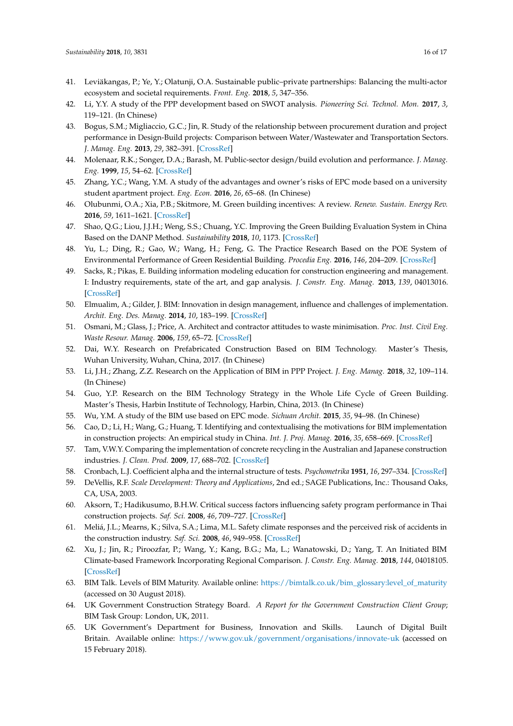- <span id="page-15-0"></span>41. Leviäkangas, P.; Ye, Y.; Olatunji, O.A. Sustainable public–private partnerships: Balancing the multi-actor ecosystem and societal requirements. *Front. Eng.* **2018**, *5*, 347–356.
- <span id="page-15-1"></span>42. Li, Y.Y. A study of the PPP development based on SWOT analysis. *Pioneering Sci. Technol. Mon.* **2017**, *3*, 119–121. (In Chinese)
- <span id="page-15-2"></span>43. Bogus, S.M.; Migliaccio, G.C.; Jin, R. Study of the relationship between procurement duration and project performance in Design-Build projects: Comparison between Water/Wastewater and Transportation Sectors. *J. Manag. Eng.* **2013**, *29*, 382–391. [\[CrossRef\]](http://dx.doi.org/10.1061/(ASCE)ME.1943-5479.0000165)
- <span id="page-15-3"></span>44. Molenaar, R.K.; Songer, D.A.; Barash, M. Public-sector design/build evolution and performance. *J. Manag. Eng.* **1999**, *15*, 54–62. [\[CrossRef\]](http://dx.doi.org/10.1061/(ASCE)0742-597X(1999)15:2(54))
- <span id="page-15-4"></span>45. Zhang, Y.C.; Wang, Y.M. A study of the advantages and owner's risks of EPC mode based on a university student apartment project. *Eng. Econ.* **2016**, *26*, 65–68. (In Chinese)
- <span id="page-15-5"></span>46. Olubunmi, O.A.; Xia, P.B.; Skitmore, M. Green building incentives: A review. *Renew. Sustain. Energy Rev.* **2016**, *59*, 1611–1621. [\[CrossRef\]](http://dx.doi.org/10.1016/j.rser.2016.01.028)
- <span id="page-15-6"></span>47. Shao, Q.G.; Liou, J.J.H.; Weng, S.S.; Chuang, Y.C. Improving the Green Building Evaluation System in China Based on the DANP Method. *Sustainability* **2018**, *10*, 1173. [\[CrossRef\]](http://dx.doi.org/10.3390/su10041173)
- <span id="page-15-7"></span>48. Yu, L.; Ding, R.; Gao, W.; Wang, H.; Feng, G. The Practice Research Based on the POE System of Environmental Performance of Green Residential Building. *Procedia Eng.* **2016**, *146*, 204–209. [\[CrossRef\]](http://dx.doi.org/10.1016/j.proeng.2016.06.374)
- <span id="page-15-8"></span>49. Sacks, R.; Pikas, E. Building information modeling education for construction engineering and management. I: Industry requirements, state of the art, and gap analysis. *J. Constr. Eng. Manag.* **2013**, *139*, 04013016. [\[CrossRef\]](http://dx.doi.org/10.1061/(ASCE)CO.1943-7862.0000759)
- <span id="page-15-9"></span>50. Elmualim, A.; Gilder, J. BIM: Innovation in design management, influence and challenges of implementation. *Archit. Eng. Des. Manag.* **2014**, *10*, 183–199. [\[CrossRef\]](http://dx.doi.org/10.1080/17452007.2013.821399)
- <span id="page-15-10"></span>51. Osmani, M.; Glass, J.; Price, A. Architect and contractor attitudes to waste minimisation. *Proc. Inst. Civil Eng. Waste Resour. Manag.* **2006**, *159*, 65–72. [\[CrossRef\]](http://dx.doi.org/10.1680/warm.2006.159.2.65)
- <span id="page-15-11"></span>52. Dai, W.Y. Research on Prefabricated Construction Based on BIM Technology. Master's Thesis, Wuhan University, Wuhan, China, 2017. (In Chinese)
- <span id="page-15-12"></span>53. Li, J.H.; Zhang, Z.Z. Research on the Application of BIM in PPP Project. *J. Eng. Manag.* **2018**, *32*, 109–114. (In Chinese)
- <span id="page-15-13"></span>54. Guo, Y.P. Research on the BIM Technology Strategy in the Whole Life Cycle of Green Building. Master's Thesis, Harbin Institute of Technology, Harbin, China, 2013. (In Chinese)
- <span id="page-15-15"></span><span id="page-15-14"></span>55. Wu, Y.M. A study of the BIM use based on EPC mode. *Sichuan Archit.* **2015**, *35*, 94–98. (In Chinese)
- 56. Cao, D.; Li, H.; Wang, G.; Huang, T. Identifying and contextualising the motivations for BIM implementation in construction projects: An empirical study in China. *Int. J. Proj. Manag.* **2016**, *35*, 658–669. [\[CrossRef\]](http://dx.doi.org/10.1016/j.ijproman.2016.02.002)
- <span id="page-15-16"></span>57. Tam, V.W.Y. Comparing the implementation of concrete recycling in the Australian and Japanese construction industries. *J. Clean. Prod.* **2009**, *17*, 688–702. [\[CrossRef\]](http://dx.doi.org/10.1016/j.jclepro.2008.11.015)
- <span id="page-15-17"></span>58. Cronbach, L.J. Coefficient alpha and the internal structure of tests. *Psychometrika* **1951**, *16*, 297–334. [\[CrossRef\]](http://dx.doi.org/10.1007/BF02310555)
- <span id="page-15-18"></span>59. DeVellis, R.F. *Scale Development: Theory and Applications*, 2nd ed.; SAGE Publications, Inc.: Thousand Oaks, CA, USA, 2003.
- <span id="page-15-19"></span>60. Aksorn, T.; Hadikusumo, B.H.W. Critical success factors influencing safety program performance in Thai construction projects. *Saf. Sci.* **2008**, *46*, 709–727. [\[CrossRef\]](http://dx.doi.org/10.1016/j.ssci.2007.06.006)
- <span id="page-15-20"></span>61. Meliá, J.L.; Mearns, K.; Silva, S.A.; Lima, M.L. Safety climate responses and the perceived risk of accidents in the construction industry. *Saf. Sci.* **2008**, *46*, 949–958. [\[CrossRef\]](http://dx.doi.org/10.1016/j.ssci.2007.11.004)
- <span id="page-15-21"></span>62. Xu, J.; Jin, R.; Piroozfar, P.; Wang, Y.; Kang, B.G.; Ma, L.; Wanatowski, D.; Yang, T. An Initiated BIM Climate-based Framework Incorporating Regional Comparison. *J. Constr. Eng. Manag.* **2018**, *144*, 04018105. [\[CrossRef\]](http://dx.doi.org/10.1061/(ASCE)CO.1943-7862.0001568)
- <span id="page-15-22"></span>63. BIM Talk. Levels of BIM Maturity. Available online: [https://bimtalk.co.uk/bim\\_glossary:level\\_of\\_maturity](https://bimtalk.co.uk/bim_glossary:level_of_maturity) (accessed on 30 August 2018).
- <span id="page-15-23"></span>64. UK Government Construction Strategy Board. *A Report for the Government Construction Client Group*; BIM Task Group: London, UK, 2011.
- <span id="page-15-24"></span>65. UK Government's Department for Business, Innovation and Skills. Launch of Digital Built Britain. Available online: <https://www.gov.uk/government/organisations/innovate-uk> (accessed on 15 February 2018).